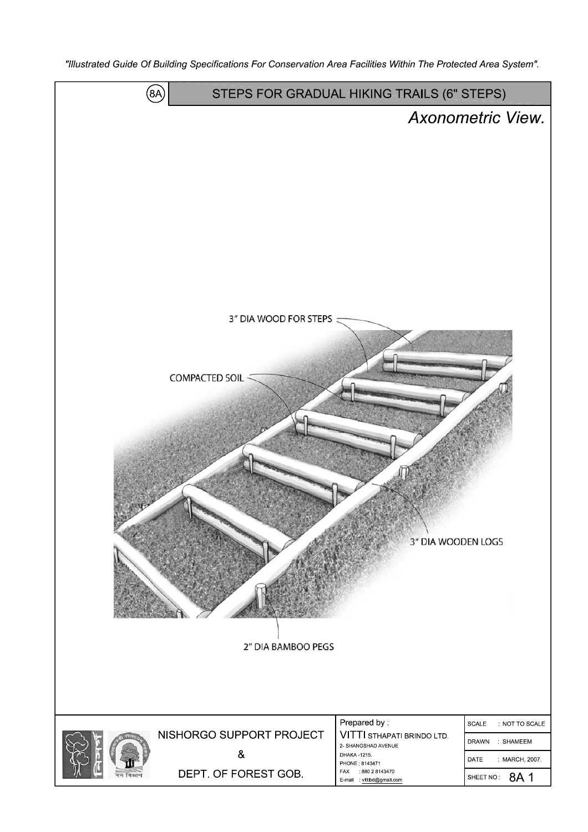"Illustrated Guide Of Building Specifications For Conservation Area Facilities Within The Protected Area System".

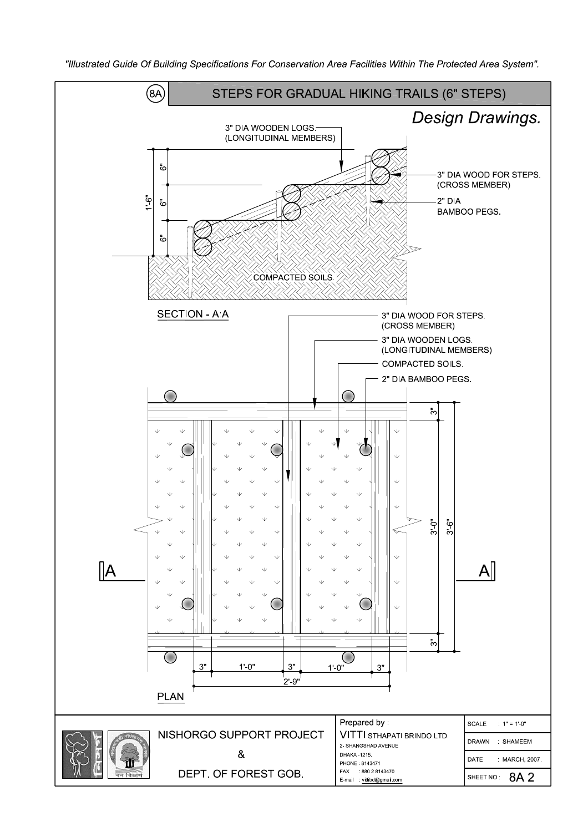